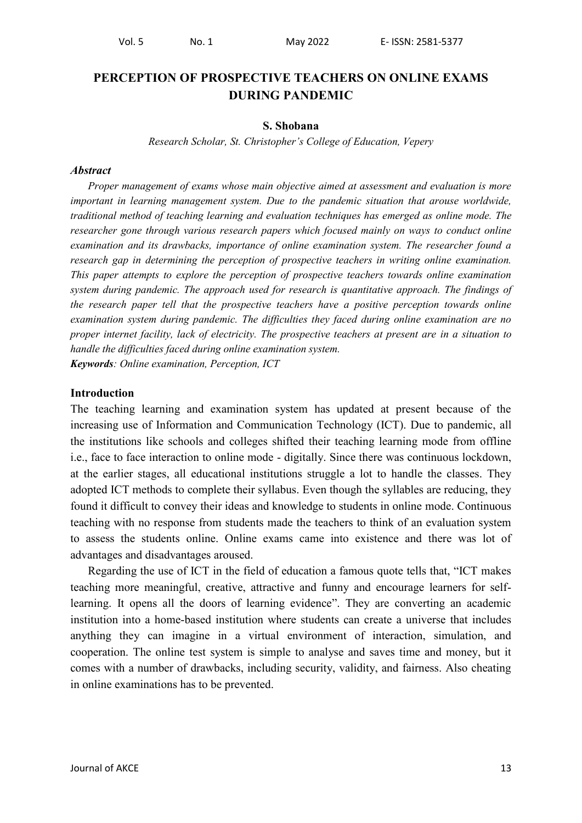# **PERCEPTION OF PROSPECTIVE TEACHERS ON ONLINE EXAMS DURING PANDEMIC**

#### **S. Shobana**

*Research Scholar, St. Christopher's College of Education, Vepery*

#### *Abstract*

*Proper management of exams whose main objective aimed at assessment and evaluation is more important in learning management system. Due to the pandemic situation that arouse worldwide, traditional method of teaching learning and evaluation techniques has emerged as online mode. The researcher gone through various research papers which focused mainly on ways to conduct online examination and its drawbacks, importance of online examination system. The researcher found a research gap in determining the perception of prospective teachers in writing online examination. This paper attempts to explore the perception of prospective teachers towards online examination system during pandemic. The approach used for research is quantitative approach. The findings of the research paper tell that the prospective teachers have a positive perception towards online examination system during pandemic. The difficulties they faced during online examination are no proper internet facility, lack of electricity. The prospective teachers at present are in a situation to handle the difficulties faced during online examination system. Keywords: Online examination, Perception, ICT*

#### **Introduction**

The teaching learning and examination system has updated at present because of the increasing use of Information and Communication Technology (ICT). Due to pandemic, all the institutions like schools and colleges shifted their teaching learning mode from offline i.e., face to face interaction to online mode - digitally. Since there was continuous lockdown, at the earlier stages, all educational institutions struggle a lot to handle the classes. They adopted ICT methods to complete their syllabus. Even though the syllables are reducing, they found it difficult to convey their ideas and knowledge to students in online mode. Continuous teaching with no response from students made the teachers to think of an evaluation system to assess the students online. Online exams came into existence and there was lot of advantages and disadvantages aroused.

Regarding the use of ICT in the field of education a famous quote tells that, "ICT makes teaching more meaningful, creative, attractive and funny and encourage learners for selflearning. It opens all the doors of learning evidence". They are converting an academic institution into a home-based institution where students can create a universe that includes anything they can imagine in a virtual environment of interaction, simulation, and cooperation. The online test system is simple to analyse and saves time and money, but it comes with a number of drawbacks, including security, validity, and fairness. Also cheating in online examinations has to be prevented.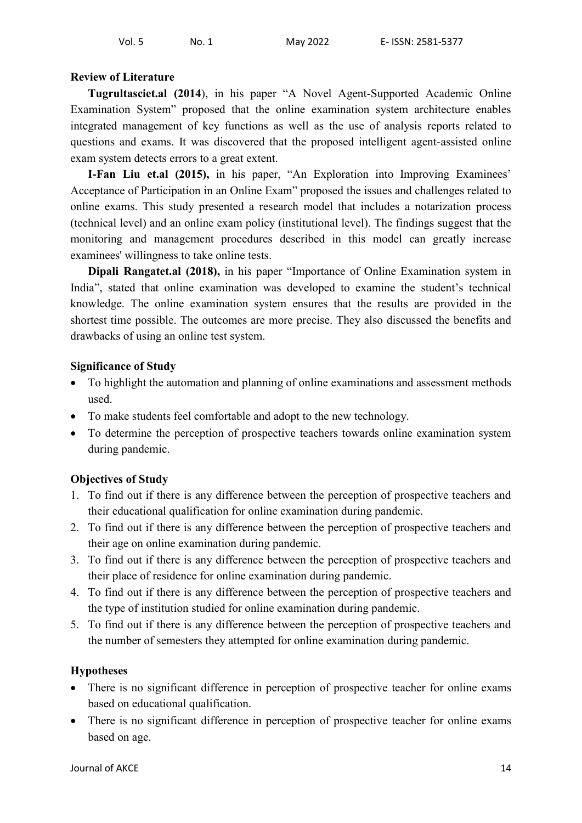### **Review of Literature**

**Tugrultasciet.al (2014**), in his paper "A Novel Agent-Supported Academic Online Examination System" proposed that the online examination system architecture enables integrated management of key functions as well as the use of analysis reports related to questions and exams. It was discovered that the proposed intelligent agent-assisted online exam system detects errors to a great extent.

**I-Fan Liu et.al (2015),** in his paper, "An Exploration into Improving Examinees' Acceptance of Participation in an Online Exam" proposed the issues and challenges related to online exams. This study presented a research model that includes a notarization process (technical level) and an online exam policy (institutional level). The findings suggest that the monitoring and management procedures described in this model can greatly increase examinees' willingness to take online tests.

**Dipali Rangatet.al (2018),** in his paper "Importance of Online Examination system in India", stated that online examination was developed to examine the student's technical knowledge. The online examination system ensures that the results are provided in the shortest time possible. The outcomes are more precise. They also discussed the benefits and drawbacks of using an online test system.

### **Significance of Study**

- To highlight the automation and planning of online examinations and assessment methods used.
- To make students feel comfortable and adopt to the new technology.
- To determine the perception of prospective teachers towards online examination system during pandemic.

## **Objectives of Study**

- 1. To find out if there is any difference between the perception of prospective teachers and their educational qualification for online examination during pandemic.
- 2. To find out if there is any difference between the perception of prospective teachers and their age on online examination during pandemic.
- 3. To find out if there is any difference between the perception of prospective teachers and their place of residence for online examination during pandemic.
- 4. To find out if there is any difference between the perception of prospective teachers and the type of institution studied for online examination during pandemic.
- 5. To find out if there is any difference between the perception of prospective teachers and the number of semesters they attempted for online examination during pandemic.

## **Hypotheses**

- There is no significant difference in perception of prospective teacher for online exams based on educational qualification.
- There is no significant difference in perception of prospective teacher for online exams based on age.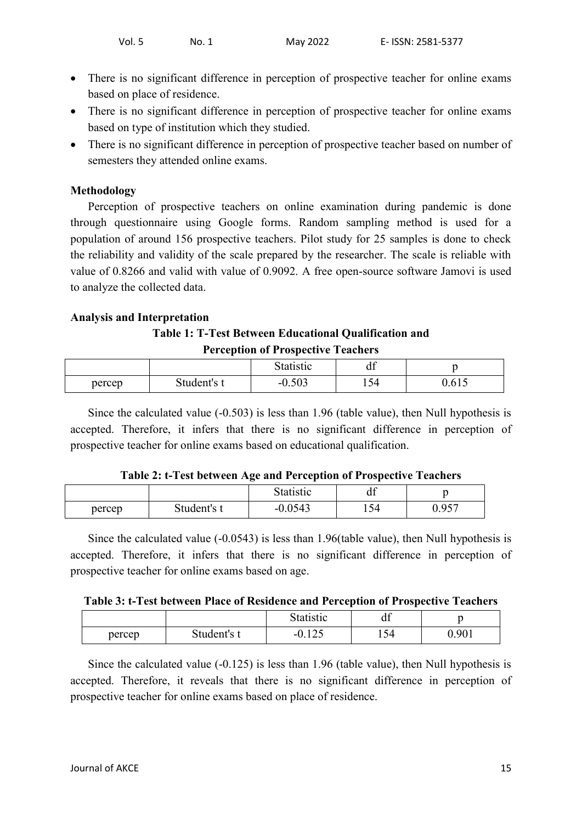- There is no significant difference in perception of prospective teacher for online exams based on place of residence.
- There is no significant difference in perception of prospective teacher for online exams based on type of institution which they studied.
- There is no significant difference in perception of prospective teacher based on number of semesters they attended online exams.

### **Methodology**

Perception of prospective teachers on online examination during pandemic is done through questionnaire using Google forms. Random sampling method is used for a population of around 156 prospective teachers. Pilot study for 25 samples is done to check the reliability and validity of the scale prepared by the researcher. The scale is reliable with value of 0.8266 and valid with value of 0.9092. A free open-source software Jamovi is used to analyze the collected data.

### **Analysis and Interpretation**

### **Table 1: T-Test Between Educational Qualification and Perception of Prospective Teachers**

| $\sim$ |             |                |     |       |  |
|--------|-------------|----------------|-----|-------|--|
|        |             | Statistic      | uı  |       |  |
| percep | Student's t | 502<br>$-U.UJ$ | 154 | v.v.v |  |

Since the calculated value (-0.503) is less than 1.96 (table value), then Null hypothesis is accepted. Therefore, it infers that there is no significant difference in perception of prospective teacher for online exams based on educational qualification.

| Table 2: t-Test between Age and Perception of Prospective Teachers |  |  |  |  |
|--------------------------------------------------------------------|--|--|--|--|
|--------------------------------------------------------------------|--|--|--|--|

|        |             | Statistic    | u                     |                        |
|--------|-------------|--------------|-----------------------|------------------------|
| percep | Student's t | 0.0543<br>-- | $\overline{ }$<br>154 | 057<br>v. <i>) J</i> I |

Since the calculated value (-0.0543) is less than 1.96(table value), then Null hypothesis is accepted. Therefore, it infers that there is no significant difference in perception of prospective teacher for online exams based on age.

|        |                       | Statistic                  | 10<br>uı |       |
|--------|-----------------------|----------------------------|----------|-------|
| percep | $\sim$<br>Student's t | $1 \cap F$<br>- 1<br>0.12J | 154      | 0.901 |

Since the calculated value (-0.125) is less than 1.96 (table value), then Null hypothesis is accepted. Therefore, it reveals that there is no significant difference in perception of prospective teacher for online exams based on place of residence.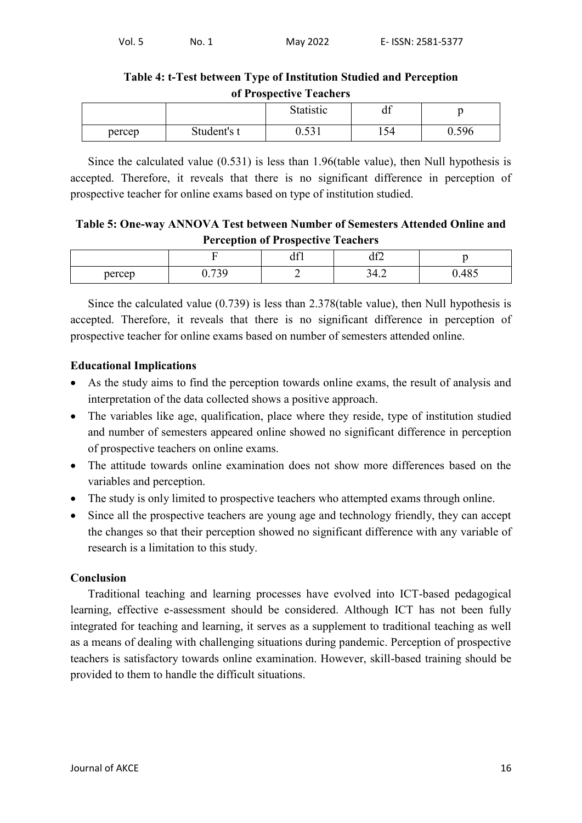### **Table 4: t-Test between Type of Institution Studied and Perception of Prospective Teachers**

|        |             | Statistic    | 10<br>uı |       |
|--------|-------------|--------------|----------|-------|
| percep | Student's t | 521<br>0.001 | 154      | 0.596 |

Since the calculated value (0.531) is less than 1.96(table value), then Null hypothesis is accepted. Therefore, it reveals that there is no significant difference in perception of prospective teacher for online exams based on type of institution studied.

## **Table 5: One-way ANNOVA Test between Number of Semesters Attended Online and Perception of Prospective Teachers**

|        | ___             | $\overline{\phantom{0}}$ |                    |                        |
|--------|-----------------|--------------------------|--------------------|------------------------|
|        | -               | $\sim$<br>u i            | $\sim$<br>$u_{12}$ |                        |
| percep | 0.720<br>v. 1 J | =                        | <u>.</u>           | $\sim$ $\sim$<br>∪.⊤∪J |

Since the calculated value (0.739) is less than 2.378(table value), then Null hypothesis is accepted. Therefore, it reveals that there is no significant difference in perception of prospective teacher for online exams based on number of semesters attended online.

## **Educational Implications**

- As the study aims to find the perception towards online exams, the result of analysis and interpretation of the data collected shows a positive approach.
- The variables like age, qualification, place where they reside, type of institution studied and number of semesters appeared online showed no significant difference in perception of prospective teachers on online exams.
- The attitude towards online examination does not show more differences based on the variables and perception.
- The study is only limited to prospective teachers who attempted exams through online.
- Since all the prospective teachers are young age and technology friendly, they can accept the changes so that their perception showed no significant difference with any variable of research is a limitation to this study.

## **Conclusion**

Traditional teaching and learning processes have evolved into ICT-based pedagogical learning, effective e-assessment should be considered. Although ICT has not been fully integrated for teaching and learning, it serves as a supplement to traditional teaching as well as a means of dealing with challenging situations during pandemic. Perception of prospective teachers is satisfactory towards online examination. However, skill-based training should be provided to them to handle the difficult situations.